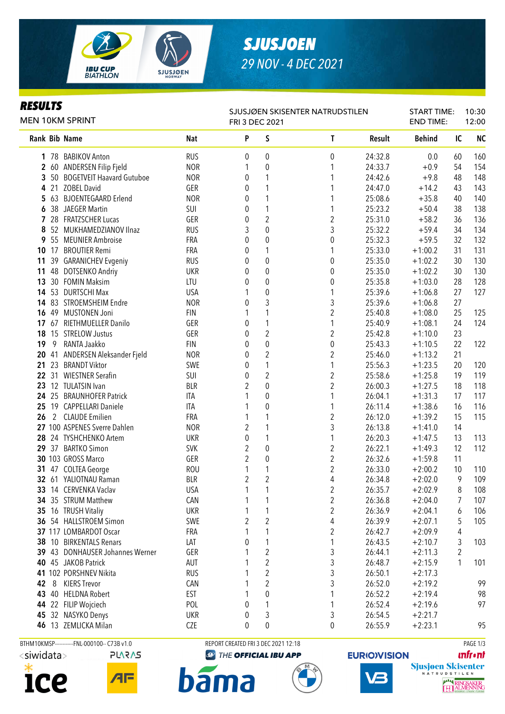

## *SJUSJOEN 29 NOV - 4 DEC 2021*

### *RESULTS*

| <b>MEN 10KM SPRINT</b> |   |                                 |            | SJUSJØEN SKISENTER NATRUDSTILEN<br>FRI 3 DEC 2021 |                  |                         |         | <b>START TIME:</b><br><b>END TIME:</b> |                | 10:30<br>12:00 |  |
|------------------------|---|---------------------------------|------------|---------------------------------------------------|------------------|-------------------------|---------|----------------------------------------|----------------|----------------|--|
|                        |   | Rank Bib Name                   | <b>Nat</b> | P                                                 | S                | T                       | Result  | <b>Behind</b>                          | IC             | <b>NC</b>      |  |
|                        |   | 1 78 BABIKOV Anton              | <b>RUS</b> | 0                                                 | 0                | 0                       | 24:32.8 | 0.0                                    | 60             | 160            |  |
|                        |   | 2 60 ANDERSEN Filip Fjeld       | <b>NOR</b> | 1                                                 | 0                | 1                       | 24:33.7 | $+0.9$                                 | 54             | 154            |  |
|                        |   | 3 50 BOGETVEIT Haavard Gutuboe  | <b>NOR</b> | 0                                                 | 1                | 1                       | 24:42.6 | $+9.8$                                 | 48             | 148            |  |
|                        |   | 4 21 ZOBEL David                | GER        | 0                                                 | 1                |                         | 24:47.0 | $+14.2$                                | 43             | 143            |  |
|                        |   | 5 63 BJOENTEGAARD Erlend        | <b>NOR</b> | 0                                                 | 1                | 1                       | 25:08.6 | $+35.8$                                | 40             | 140            |  |
|                        |   | 6 38 JAEGER Martin              | SUI        | $\boldsymbol{0}$                                  | 1                | 1                       | 25:23.2 | $+50.4$                                | 38             | 138            |  |
|                        |   | 7 28 FRATZSCHER Lucas           | GER        | $\boldsymbol{0}$                                  | $\overline{2}$   | $\overline{\mathbf{c}}$ | 25:31.0 | $+58.2$                                | 36             | 136            |  |
| 8                      |   | 52 MUKHAMEDZIANOV Ilnaz         | <b>RUS</b> | 3                                                 | $\pmb{0}$        | 3                       | 25:32.2 | $+59.4$                                | 34             | 134            |  |
|                        |   | 9 55 MEUNIER Ambroise           | FRA        | $\boldsymbol{0}$                                  | $\pmb{0}$        | 0                       | 25:32.3 | $+59.5$                                | 32             | 132            |  |
|                        |   | 10 17 BROUTIER Remi             | FRA        | 0                                                 | 1                | 1                       | 25:33.0 | $+1:00.2$                              | 31             | 131            |  |
| 11                     |   | 39 GARANICHEV Evgeniy           | <b>RUS</b> | 0                                                 | $\boldsymbol{0}$ | 0                       | 25:35.0 | $+1:02.2$                              | 30             | 130            |  |
| 11                     |   | 48 DOTSENKO Andriy              | <b>UKR</b> | 0                                                 | $\boldsymbol{0}$ | $\boldsymbol{0}$        | 25:35.0 | $+1:02.2$                              | 30             | 130            |  |
| 13                     |   | 30 FOMIN Maksim                 | LTU        | 0                                                 | $\mathbf{0}$     | 0                       | 25:35.8 | $+1:03.0$                              | 28             | 128            |  |
|                        |   | 14 53 DURTSCHI Max              | <b>USA</b> | 1                                                 | 0                | 1                       | 25:39.6 | $+1:06.8$                              | 27             | 127            |  |
|                        |   | 14 83 STROEMSHEIM Endre         | <b>NOR</b> | 0                                                 | 3                | 3                       | 25:39.6 | $+1:06.8$                              | 27             |                |  |
|                        |   | 16 49 MUSTONEN Joni             | <b>FIN</b> | 1                                                 | 1                | $\overline{2}$          | 25:40.8 | $+1:08.0$                              | 25             | 125            |  |
|                        |   | 17 67 RIETHMUELLER Danilo       | GER        | 0                                                 | 1                | 1                       | 25:40.9 | $+1:08.1$                              | 24             | 124            |  |
|                        |   | 18 15 STRELOW Justus            | GER        | 0                                                 | $\overline{2}$   | $\overline{2}$          | 25:42.8 | $+1:10.0$                              | 23             |                |  |
| 19                     | 9 | RANTA Jaakko                    | <b>FIN</b> | 0                                                 | 0                | $\boldsymbol{0}$        | 25:43.3 | $+1:10.5$                              | 22             | 122            |  |
|                        |   | 20 41 ANDERSEN Aleksander Fjeld | <b>NOR</b> | 0                                                 | 2                | $\overline{2}$          | 25:46.0 | $+1:13.2$                              | 21             |                |  |
| 21                     |   | 23 BRANDT Viktor                | SWE        | 0                                                 | 1                | 1                       | 25:56.3 | $+1:23.5$                              | 20             | 120            |  |
|                        |   | 22 31 WIESTNER Serafin          | SUI        | 0                                                 | 2                | $\boldsymbol{2}$        | 25:58.6 | $+1:25.8$                              | 19             | 119            |  |
|                        |   | 23 12 TULATSIN Ivan             | <b>BLR</b> | $\overline{2}$                                    | 0                | $\boldsymbol{2}$        | 26:00.3 | $+1:27.5$                              | 18             | 118            |  |
|                        |   | 24 25 BRAUNHOFER Patrick        | ITA        | 1                                                 | 0                | 1                       | 26:04.1 | $+1:31.3$                              | 17             | 117            |  |
|                        |   | 25 19 CAPPELLARI Daniele        | <b>ITA</b> | 1                                                 | 0                | 1                       | 26:11.4 | $+1:38.6$                              | 16             | 116            |  |
| 26                     |   | 2 CLAUDE Emilien                | FRA        | 1                                                 | 1                | 2                       | 26:12.0 | $+1:39.2$                              | 15             | 115            |  |
|                        |   | 27 100 ASPENES Sverre Dahlen    | <b>NOR</b> | $\overline{2}$                                    | 1                | 3                       | 26:13.8 | $+1:41.0$                              | 14             |                |  |
|                        |   | 28 24 TYSHCHENKO Artem          | <b>UKR</b> | $\pmb{0}$                                         | 1                | 1                       | 26:20.3 | $+1:47.5$                              | 13             | 113            |  |
|                        |   | 29 37 BARTKO Simon              | <b>SVK</b> | $\sqrt{2}$                                        | $\boldsymbol{0}$ | $\overline{\mathbf{c}}$ | 26:22.1 | $+1:49.3$                              | 12             | 112            |  |
|                        |   | 30 103 GROSS Marco              | GER        | $\overline{2}$                                    | $\boldsymbol{0}$ | $\overline{c}$          | 26:32.6 | $+1:59.8$                              | 11             |                |  |
| 31                     |   | 47 COLTEA George                | <b>ROU</b> | 1                                                 | 1                | $\overline{2}$          | 26:33.0 | $+2:00.2$                              | 10             | 110            |  |
|                        |   | 32 61 YALIOTNAU Raman           | <b>BLR</b> | $\overline{2}$                                    | $\overline{c}$   | 4                       | 26:34.8 | $+2:02.0$                              | 9              | 109            |  |
|                        |   | 33 14 CERVENKA Vaclav           | <b>USA</b> | $\mathbf{1}$                                      | $\mathbf{1}$     | $\overline{\mathbf{c}}$ | 26:35.7 | $+2:02.9$                              | 8              | 108            |  |
|                        |   | 34 35 STRUM Matthew             | CAN        | 1                                                 | 1                | $\overline{\mathbf{c}}$ | 26:36.8 | $+2:04.0$                              | 7              | 107            |  |
|                        |   | 35 16 TRUSH Vitaliy             | <b>UKR</b> | 1                                                 | 1                | $\overline{c}$          | 26:36.9 | $+2:04.1$                              | 6              | 106            |  |
|                        |   | 36 54 HALLSTROEM Simon          | SWE        | $\overline{2}$                                    | $\overline{2}$   | 4                       | 26:39.9 | $+2:07.1$                              | 5              | 105            |  |
|                        |   | 37 117 LOMBARDOT Oscar          | FRA        | 1                                                 | 1                | $\overline{c}$          | 26:42.7 | $+2:09.9$                              | 4              |                |  |
|                        |   | 38 10 BIRKENTALS Renars         | LAT        | $\theta$                                          | 1                | 1                       | 26:43.5 | $+2:10.7$                              | 3              | 103            |  |
|                        |   | 39 43 DONHAUSER Johannes Werner | GER        | 1                                                 | $\overline{2}$   | 3                       | 26:44.1 | $+2:11.3$                              | $\overline{2}$ |                |  |
|                        |   | 40 45 JAKOB Patrick             | AUT        |                                                   | $\overline{2}$   | 3                       | 26:48.7 | $+2:15.9$                              | 1              | 101            |  |
|                        |   | 41 102 PORSHNEV Nikita          | <b>RUS</b> | 1                                                 | 2                | 3                       | 26:50.1 | $+2:17.3$                              |                |                |  |
| 42                     | 8 | <b>KIERS Trevor</b>             | CAN        | 1                                                 | 2                | 3                       | 26:52.0 | $+2:19.2$                              |                | 99             |  |
|                        |   | 43 40 HELDNA Robert             | EST        | 1                                                 | 0                | 1                       | 26:52.2 | $+2:19.4$                              |                | 98             |  |
|                        |   | 44 22 FILIP Wojciech            | POL        | 0                                                 | 1                | 1                       | 26:52.4 | $+2:19.6$                              |                | 97             |  |
| 45                     |   | 32 NASYKO Denys                 | <b>UKR</b> | 0                                                 | 3                | 3                       | 26:54.5 | $+2:21.7$                              |                |                |  |
|                        |   | 46 13 ZEMLICKA Milan            | CZE        | 0                                                 | 0                | 0                       | 26:55.9 | $+2:23.1$                              |                | 95             |  |





#### BTHM10KMSP-----------FNL-000100-- C73B v1.0 REPORT CREATED FRI 3 DEC 2021 12:18 PAGE 1/3

**b**ama

**<sup>49</sup> THE OFFICIAL IBU APP** 

## **EURIO)VISION**

**unfront** 

Sjusjøen Skisenter

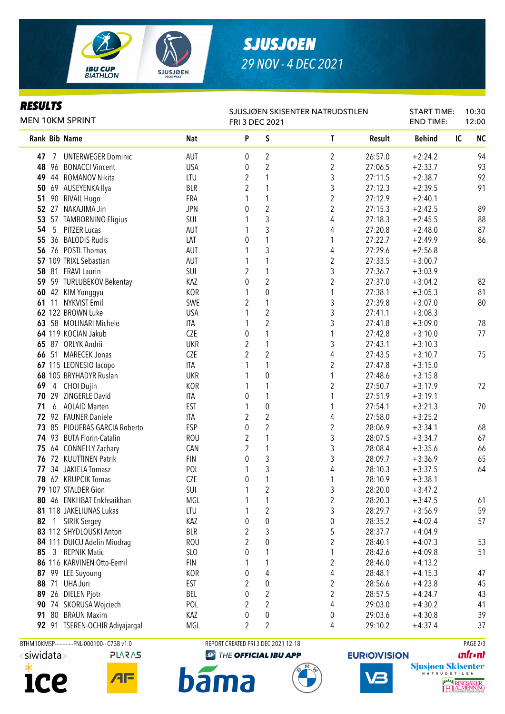

# *SJUSJOEN 29 NOV - 4 DEC 2021*

### *RESULTS*

| MEN 10KM SPRINT |              |                                               |                               | SJUSJØEN SKISENTER NATRUDSTILEN<br>FRI 3 DEC 2021 |                         |                                         |                    |                        | START TIME:<br><b>END TIME:</b> | 10:30<br>12:00 |  |
|-----------------|--------------|-----------------------------------------------|-------------------------------|---------------------------------------------------|-------------------------|-----------------------------------------|--------------------|------------------------|---------------------------------|----------------|--|
| Rank Bib Name   |              |                                               | Nat                           | P                                                 | S                       | $\mathsf{T}$                            | Result             | <b>Behind</b>          | IC                              | <b>NC</b>      |  |
| 47              | 7            | <b>UNTERWEGER Dominic</b>                     | AUT                           | 0                                                 | 2                       | 2                                       | 26:57.0            | $+2:24.2$              |                                 | 94             |  |
|                 |              | 48 96 BONACCI Vincent                         | <b>USA</b>                    | 0                                                 | $\overline{2}$          | $\overline{2}$                          | 27:06.5            | $+2:33.7$              |                                 | 93             |  |
|                 |              | 49 44 ROMANOV Nikita                          | LTU                           | $\overline{2}$                                    | 1                       | 3                                       | 27:11.5            | $+2:38.7$              |                                 | 92             |  |
|                 |              | 50 69 AUSEYENKA Ilya                          | <b>BLR</b>                    | 2                                                 | 1                       | $\sqrt{3}$                              | 27:12.3            | $+2:39.5$              |                                 | 91             |  |
| 51              |              | 90 RIVAIL Hugo                                | FRA                           | 1                                                 | 1                       | $\overline{c}$                          | 27:12.9            | $+2:40.1$              |                                 |                |  |
| 52 <sub>2</sub> |              | 27 NAKAJIMA Jin                               | <b>JPN</b>                    | 0                                                 | $\overline{2}$          | 2                                       | 27:15.3            | $+2:42.5$              |                                 | 89             |  |
| 53              |              | 57 TAMBORNINO Eligius                         | SUI                           | 1                                                 | 3                       | 4                                       | 27:18.3            | $+2:45.5$              |                                 | 88             |  |
| 54              |              | 5 PITZER Lucas                                | AUT                           | 1                                                 | 3                       | 4                                       | 27:20.8            | $+2:48.0$              |                                 | 87             |  |
|                 |              | 55 36 BALODIS Rudis                           | LAT                           | 0                                                 | 1                       | 1                                       | 27:22.7            | $+2:49.9$              |                                 | 86             |  |
|                 |              | 56 76 POSTL Thomas                            | AUT                           | 1                                                 | 3                       | 4                                       | 27:29.6            | $+2:56.8$              |                                 |                |  |
|                 |              | 57 109 TRIXL Sebastian                        | <b>AUT</b>                    | 1                                                 | 1                       | $\boldsymbol{2}$                        | 27:33.5            | $+3:00.7$              |                                 |                |  |
|                 |              | 58 81 FRAVI Laurin                            | SUI                           | $\overline{2}$                                    | 1                       | 3                                       | 27:36.7            | $+3:03.9$              |                                 |                |  |
|                 |              | 59 59 TURLUBEKOV Bekentay                     | KAZ                           | $\boldsymbol{0}$                                  | $\overline{2}$          | $\overline{2}$                          | 27:37.0            | $+3:04.2$              |                                 | 82             |  |
|                 |              | 60 42 KIM Yonggyu                             | <b>KOR</b>                    | 1                                                 | $\pmb{0}$               | 1                                       | 27:38.1            | $+3:05.3$              |                                 | 81             |  |
|                 |              | 61 11 NYKVIST Emil                            | SWE                           | 2                                                 | 1                       | 3                                       | 27:39.8            | $+3:07.0$              |                                 | 80             |  |
|                 |              | 62 122 BROWN Luke                             | <b>USA</b>                    | 1                                                 | $\sqrt{2}$              | 3                                       | 27:41.1            | $+3:08.3$              |                                 |                |  |
|                 |              | 63 58 MOLINARI Michele                        | ITA                           |                                                   | $\overline{c}$          | 3                                       | 27:41.8            | $+3:09.0$              |                                 | 78             |  |
|                 |              | 64 119 KOCIAN Jakub                           | <b>CZE</b>                    | 0                                                 | 1                       | 1                                       | 27:42.8            | $+3:10.0$              |                                 | 77             |  |
|                 |              | 65 87 ORLYK Andrii                            | <b>UKR</b>                    | $\overline{2}$                                    | $\mathbf{1}$            | 3                                       | 27:43.1            | $+3:10.3$              |                                 |                |  |
|                 |              | 66 51 MARECEK Jonas                           | <b>CZE</b>                    | $\overline{2}$                                    | $\overline{2}$          | 4                                       | 27:43.5            | $+3:10.7$              |                                 | 75             |  |
|                 |              | 67 115 LEONESIO lacopo                        | ITA                           |                                                   | 1                       | $\overline{2}$                          | 27:47.8            | $+3:15.0$              |                                 |                |  |
|                 |              | 68 105 BRYHADYR Ruslan                        | <b>UKR</b>                    |                                                   | $\mathbf 0$             | 1                                       | 27:48.6            | $+3:15.8$              |                                 |                |  |
| 69              |              | 4 CHOI Dujin                                  | <b>KOR</b>                    | 1                                                 | 1                       | 2                                       | 27:50.7            | $+3:17.9$              |                                 | 72             |  |
|                 |              | 70 29 ZINGERLE David                          | ITA                           | 0                                                 | 1                       | 1                                       | 27:51.9            | $+3:19.1$              |                                 |                |  |
| 71              | 6            | <b>AOLAID Marten</b>                          | <b>EST</b>                    | 1                                                 | $\mathbf 0$             | 1                                       | 27:54.1            | $+3:21.3$              |                                 | 70             |  |
|                 |              | 72 92 FAUNER Daniele                          | ITA                           | $\overline{2}$                                    | $\overline{2}$          | 4                                       | 27:58.0            | $+3:25.2$              |                                 |                |  |
|                 |              | 73 85 PIQUERAS GARCIA Roberto                 | ESP                           | 0                                                 | $\overline{2}$          | $\boldsymbol{2}$                        | 28:06.9            | $+3:34.1$              |                                 | 68             |  |
|                 |              | 74 93 BUTA Florin-Catalin                     | <b>ROU</b>                    | $\overline{2}$                                    | 1                       | 3                                       | 28:07.5            | $+3:34.7$              |                                 | 67             |  |
|                 |              | 75 64 CONNELLY Zachary                        | CAN                           | $\overline{2}$                                    | 1                       | 3                                       | 28:08.4            | $+3:35.6$              |                                 | 66             |  |
|                 |              | 76 72 KUUTTINEN Patrik                        | <b>FIN</b>                    | 0                                                 | 3                       | 3                                       | 28:09.7            | $+3:36.9$              |                                 | 65             |  |
|                 |              | 77 34 JAKIELA Tomasz                          | POL                           | 1                                                 | 3                       | 4                                       | 28:10.3            | $+3:37.5$              |                                 | 64             |  |
|                 |              | 78 62 KRUPCIK Tomas                           | <b>CZE</b>                    | $\boldsymbol{0}$                                  | 1                       | 1                                       | 28:10.9            | $+3:38.1$              |                                 |                |  |
|                 |              | 79 107 STALDER Gion                           | SUI                           | 1                                                 | $\overline{\mathbf{c}}$ | 3                                       | 28:20.0            | $+3:47.2$              |                                 |                |  |
|                 |              | 80 46 ENKHBAT Enkhsaikhan                     | MGL                           | 1                                                 | 1                       | $\boldsymbol{2}$                        | 28:20.3            | $+3:47.5$              |                                 | 61             |  |
|                 |              | 81 118 JAKELIUNAS Lukas                       | LTU                           | 1                                                 | $\sqrt{2}$              | 3                                       | 28:29.7            | $+3:56.9$              |                                 | 59             |  |
| 82              | $\mathbf{1}$ | <b>SIRIK Sergey</b>                           | KAZ                           | 0                                                 | $\pmb{0}$               | 0                                       | 28:35.2            | $+4:02.4$              |                                 | 57             |  |
|                 |              | 83 112 SHYDLOUSKI Anton                       | <b>BLR</b>                    | 2<br>$\overline{2}$                               | 3                       | 5                                       | 28:37.7            | $+4:04.9$              |                                 |                |  |
| 85              |              | 84 111 DUICU Adelin Miodrag<br>3 REPNIK Matic | <b>ROU</b><br>SL <sub>O</sub> | 0                                                 | $\pmb{0}$<br>1          | $\overline{\mathbf{c}}$<br>$\mathbf{1}$ | 28:40.1<br>28:42.6 | $+4:07.3$              |                                 | 53<br>51       |  |
|                 |              | 86 116 KARVINEN Otto-Eemil                    | <b>FIN</b>                    | 1                                                 | 1                       | $\overline{2}$                          |                    | $+4:09.8$              |                                 |                |  |
|                 |              |                                               |                               |                                                   |                         |                                         | 28:46.0            | $+4:13.2$              |                                 |                |  |
| 87              |              | 99 LEE Suyoung<br>88 71 UHA Juri              | KOR<br><b>EST</b>             | 0<br>$\overline{2}$                               | 4<br>$\boldsymbol{0}$   | 4                                       | 28:48.1            | $+4:15.3$              |                                 | 47             |  |
| 89              |              | 26 DIELEN Pjotr                               | BEL                           | 0                                                 | $\overline{2}$          | 2<br>$\overline{2}$                     | 28:56.6<br>28:57.5 | $+4:23.8$<br>$+4:24.7$ |                                 | 45             |  |
|                 |              |                                               | POL                           | 2                                                 | $\overline{2}$          | 4                                       | 29:03.0            | $+4:30.2$              |                                 | 43<br>41       |  |
|                 |              | 90 74 SKORUSA Wojciech<br>91 80 BRAUN Maxim   | KAZ                           |                                                   |                         |                                         | 29:03.6            | $+4:30.8$              |                                 |                |  |
|                 |              |                                               | MGL                           | 0<br>$\overline{2}$                               | 0<br>$\overline{2}$     | 0                                       |                    | $+4:37.4$              |                                 | 39<br>37       |  |
|                 |              | 92 91 TSEREN-OCHIR Adiyajargal                |                               |                                                   |                         | 4                                       | 29:10.2            |                        |                                 |                |  |





BTHM10KMSP-----------FNL-000100-- C73B v1.0 REPORT CREATED FRI 3 DEC 2021 12:18 PAGE 2/3

**b**ama

**<sup>49</sup> THE OFFICIAL IBU APP** 



**EURIO)VISION** 

**unfront** 

Sjusjøen Skisenter

**AAA** RINGSAKER